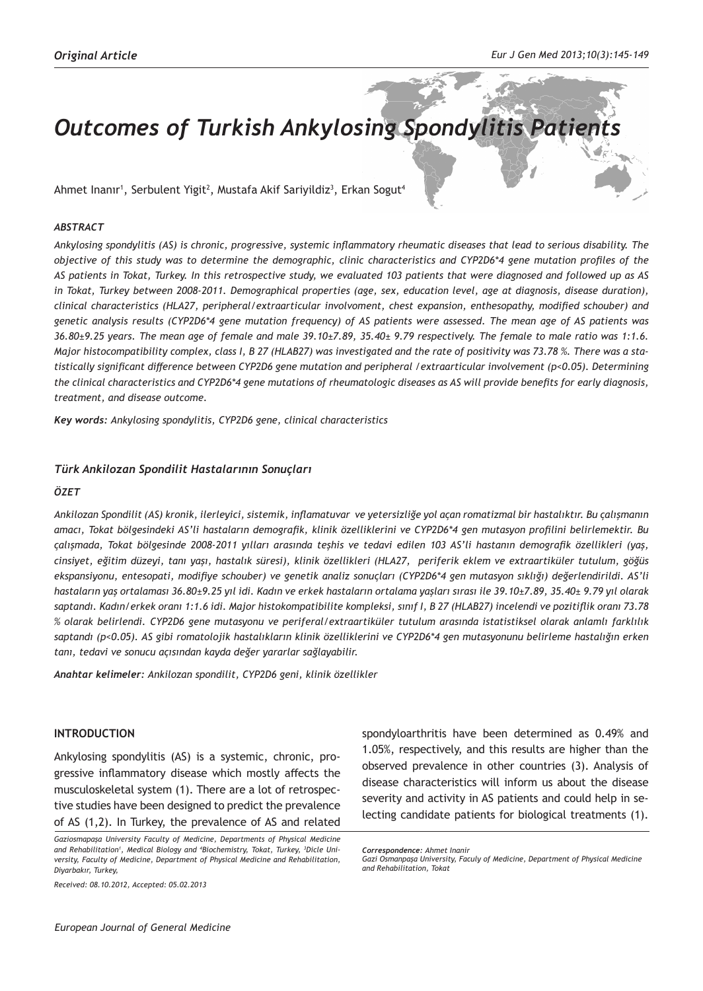# **Outcomes of Turkish Ankylosing Spondylitis Patients**

Ahmet Inanır<sup>ı</sup>, Serbulent Yigit<sup>2</sup>, Mustafa Akif Sariyildiz<sup>3</sup>, Erkan Sogut<sup>4</sup>

# *ABSTRACT*

*Ankylosing spondylitis (AS) is chronic, progressive, systemic inflammatory rheumatic diseases that lead to serious disability. The objective of this study was to determine the demographic, clinic characteristics and CYP2D6\*4 gene mutation profiles of the AS patients in Tokat, Turkey. In this retrospective study, we evaluated 103 patients that were diagnosed and followed up as AS in Tokat, Turkey between 2008-2011. Demographical properties (age, sex, education level, age at diagnosis, disease duration), clinical characteristics (HLA27, peripheral/extraarticular involvoment, chest expansion, enthesopathy, modified schouber) and genetic analysis results (CYP2D6\*4 gene mutation frequency) of AS patients were assessed. The mean age of AS patients was 36.80±9.25 years. The mean age of female and male 39.10±7.89, 35.40± 9.79 respectively. The female to male ratio was 1:1.6. Major histocompatibility complex, class I, B 27 (HLAB27) was investigated and the rate of positivity was 73.78 %. There was a statistically significant difference between CYP2D6 gene mutation and peripheral /extraarticular involvement (p<0.05). Determining the clinical characteristics and CYP2D6\*4 gene mutations of rheumatologic diseases as AS will provide benefits for early diagnosis, treatment, and disease outcome.*

*Key words: Ankylosing spondylitis, CYP2D6 gene, clinical characteristics* 

# *Türk Ankilozan Spondilit Hastalarının Sonuçları*

#### *ÖZET*

*Ankilozan Spondilit (AS) kronik, ilerleyici, sistemik, inflamatuvar ve yetersizliğe yol açan romatizmal bir hastalıktır. Bu çalışmanın amacı, Tokat bölgesindeki AS'li hastaların demografik, klinik özelliklerini ve CYP2D6\*4 gen mutasyon profilini belirlemektir. Bu çalışmada, Tokat bölgesinde 2008-2011 yılları arasında teşhis ve tedavi edilen 103 AS'li hastanın demografik özellikleri (yaş, cinsiyet, eğitim düzeyi, tanı yaşı, hastalık süresi), klinik özellikleri (HLA27, periferik eklem ve extraartiküler tutulum, göğüs ekspansiyonu, entesopati, modifiye schouber) ve genetik analiz sonuçları (CYP2D6\*4 gen mutasyon sıklığı) değerlendirildi. AS'li hastaların yaş ortalaması 36.80±9.25 yıl idi. Kadın ve erkek hastaların ortalama yaşları sırası ile 39.10±7.89, 35.40± 9.79 yıl olarak saptandı. Kadın/erkek oranı 1:1.6 idi. Major histokompatibilite kompleksi, sınıf I, B 27 (HLAB27) incelendi ve pozitiflik oranı 73.78 % olarak belirlendi. CYP2D6 gene mutasyonu ve periferal/extraartiküler tutulum arasında istatistiksel olarak anlamlı farklılık saptandı (p<0.05). AS gibi romatolojik hastalıkların klinik özelliklerini ve CYP2D6\*4 gen mutasyonunu belirleme hastalığın erken tanı, tedavi ve sonucu açısından kayda değer yararlar sağlayabilir.*

*Anahtar kelimeler: Ankilozan spondilit, CYP2D6 geni, klinik özellikler*

#### **INTRODUCTION**

Ankylosing spondylitis (AS) is a systemic, chronic, progressive inflammatory disease which mostly affects the musculoskeletal system (1). There are a lot of retrospective studies have been designed to predict the prevalence of AS (1,2). In Turkey, the prevalence of AS and related

*Received: 08.10.2012, Accepted: 05.02.2013*

spondyloarthritis have been determined as 0.49% and 1.05%, respectively, and this results are higher than the observed prevalence in other countries (3). Analysis of disease characteristics will inform us about the disease severity and activity in AS patients and could help in selecting candidate patients for biological treatments (1).

*Gaziosmapaşa University Faculty of Medicine, Departments of Physical Medicine and Rehabilitation1 , Medical Biology and 4 Biochemistry, Tokat, Turkey, 3 Dicle University, Faculty of Medicine, Department of Physical Medicine and Rehabilitation, Diyarbakır, Turkey,* 

*Correspondence: Ahmet Inanir*

*Gazi Osmanpaşa University, Faculy of Medicine, Department of Physical Medicine and Rehabilitation, Tokat*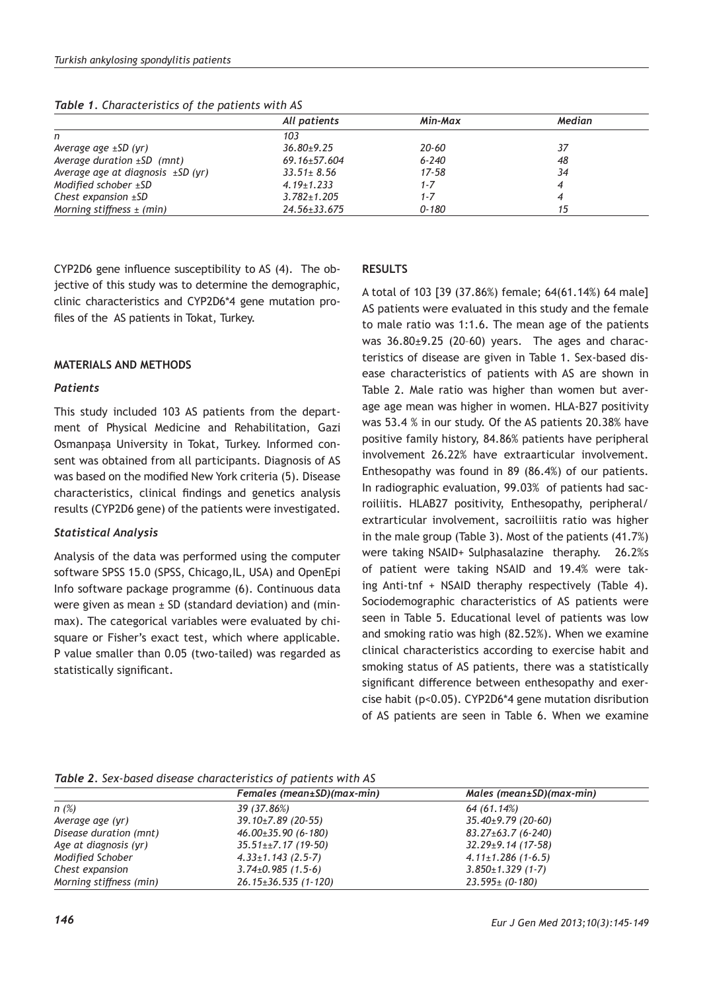|                                        | All patients       | Min-Max   | Median |
|----------------------------------------|--------------------|-----------|--------|
| n                                      | 103                |           |        |
| Average age $\pm$ SD (yr)              | $36.80 + 9.25$     | 20-60     | 37     |
| Average duration $\pm SD$ (mnt)        | $69.16 \pm 57.604$ | $6 - 240$ | 48     |
| Average age at diagnosis $\pm SD$ (yr) | $33.51 \pm 8.56$   | $17 - 58$ | 34     |
| Modified schober $\pm$ SD              | $4.19 \pm 1.233$   | $1 - 7$   |        |
| Chest expansion $\pm$ SD               | $3.782 \pm 1.205$  | 1-7       |        |
| Morning stiffness $\pm$ (min)          | $24.56 \pm 33.675$ | 0-180     | 15     |

*Table 1. Characteristics of the patients with AS*

CYP2D6 gene influence susceptibility to AS (4). The objective of this study was to determine the demographic, clinic characteristics and CYP2D6\*4 gene mutation profiles of the AS patients in Tokat, Turkey.

# **MATERIALS AND METHODS**

#### *Patients*

This study included 103 AS patients from the department of Physical Medicine and Rehabilitation, Gazi Osmanpaşa University in Tokat, Turkey. Informed consent was obtained from all participants. Diagnosis of AS was based on the modified New York criteria (5). Disease characteristics, clinical findings and genetics analysis results (CYP2D6 gene) of the patients were investigated.

# *Statistical Analysis*

Analysis of the data was performed using the computer software SPSS 15.0 (SPSS, Chicago, IL, USA) and OpenEpi Info software package programme (6). Continuous data were given as mean  $\pm$  SD (standard deviation) and (minmax). The categorical variables were evaluated by chisquare or Fisher's exact test, which where applicable. P value smaller than 0.05 (two-tailed) was regarded as statistically significant*.*

#### **RESULTS**

A total of 103 [39 (37.86%) female; 64(61.14%) 64 male] AS patients were evaluated in this study and the female to male ratio was 1:1.6. The mean age of the patients was 36.80±9.25 (20–60) years. The ages and characteristics of disease are given in Table 1. Sex-based disease characteristics of patients with AS are shown in Table 2. Male ratio was higher than women but average age mean was higher in women. HLA-B27 positivity was 53.4 % in our study. Of the AS patients 20.38% have positive family history, 84.86% patients have peripheral involvement 26.22% have extraarticular involvement. Enthesopathy was found in 89 (86.4%) of our patients. In radiographic evaluation, 99.03% of patients had sacroiliitis. HLAB27 positivity, Enthesopathy, peripheral/ extrarticular involvement, sacroiliitis ratio was higher in the male group (Table 3). Most of the patients (41.7%) were taking NSAID+ Sulphasalazine theraphy. 26.2%s of patient were taking NSAID and 19.4% were taking Anti-tnf + NSAID theraphy respectively (Table 4). Sociodemographic characteristics of AS patients were seen in Table 5. Educational level of patients was low and smoking ratio was high (82.52%). When we examine clinical characteristics according to exercise habit and smoking status of AS patients, there was a statistically significant difference between enthesopathy and exercise habit (p<0.05). CYP2D6\*4 gene mutation disribution of AS patients are seen in Table 6. When we examine

*Table 2. Sex-based disease characteristics of patients with AS*

|                         | Females (mean±SD)(max-min) | $Males (mean \pm SD) (max-min)$ |
|-------------------------|----------------------------|---------------------------------|
| n(%)                    | 39 (37.86%)                | 64 (61.14%)                     |
| Average age (yr)        | $39.10 \pm 7.89$ (20-55)   | $35.40 \pm 9.79$ (20-60)        |
| Disease duration (mnt)  | $46.00\pm35.90(6-180)$     | $83.27 \pm 63.7$ (6-240)        |
| Age at diagnosis (yr)   | $35.51 \pm 7.17$ (19-50)   | $32.29 \pm 9.14$ (17-58)        |
| Modified Schober        | $4.33 \pm 1.143$ (2.5-7)   | $4.11 \pm 1.286$ (1-6.5)        |
| Chest expansion         | $3.74\pm0.985(1.5-6)$      | $3.850 \pm 1.329$ (1-7)         |
| Morning stiffness (min) | $26.15 \pm 36.535$ (1-120) | $23.595 \pm (0.180)$            |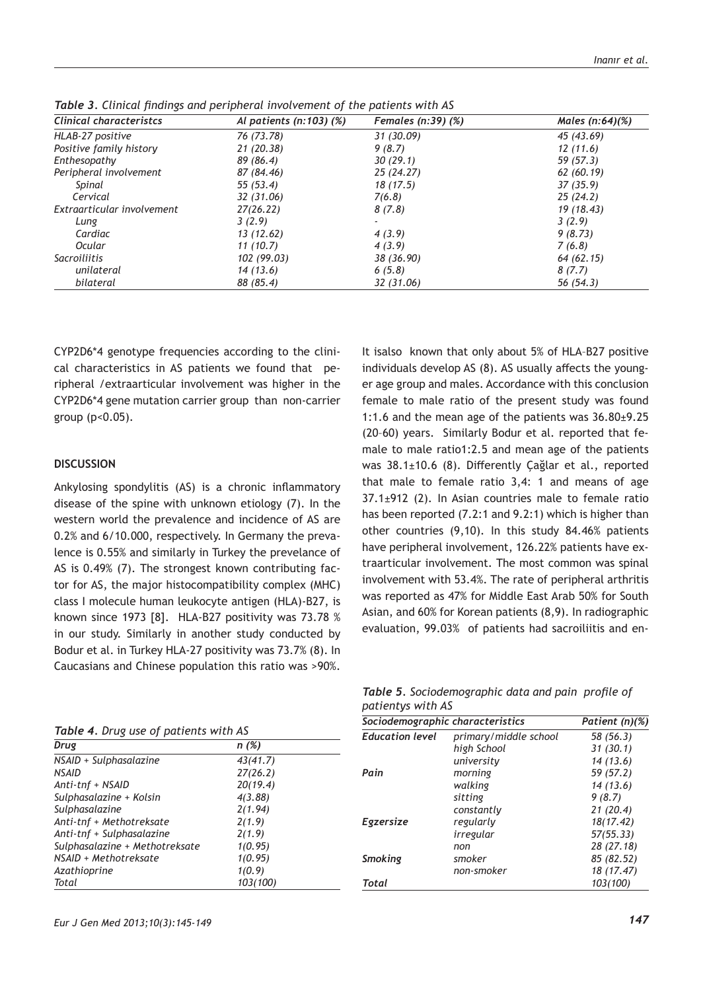| <b>Clinical characteristcs</b> | Al patients $(n:103)$ $(\%)$ | Females $(n:39)$ $(\%)$ | Males $(n:64)(%$ |
|--------------------------------|------------------------------|-------------------------|------------------|
| HLAB-27 positive               | 76 (73.78)                   | 31 (30.09)              | 45 (43.69)       |
| Positive family history        | 21 (20.38)                   | 9(8,7)                  | 12(11.6)         |
| Enthesopathy                   | 89 (86.4)                    | 30(29.1)                | 59 (57.3)        |
| Peripheral involvement         | 87 (84.46)                   | 25 (24.27)              | 62 (60.19)       |
| Spinal                         | 55(53.4)                     | 18(17.5)                | 37(35.9)         |
| Cervical                       | 32 (31.06)                   | 7(6.8)                  | 25 (24.2)        |
| Extraarticular involvement     | 27(26.22)                    | 8(7.8)                  | 19 (18.43)       |
| Lung                           | 3(2.9)                       | ٠                       | 3(2.9)           |
| Cardiac                        | 13 (12.62)                   | 4(3.9)                  | 9(8.73)          |
| Ocular                         | 11(10.7)                     | 4(3.9)                  | 7(6.8)           |
| Sacroiliitis                   | 102 (99.03)                  | 38 (36.90)              | 64 (62.15)       |
| unilateral                     | 14(13.6)                     | 6(5.8)                  | 8(7.7)           |
| bilateral                      | 88 (85.4)                    | 32 (31.06)              | 56 (54.3)        |

*Table 3. Clinical findings and peripheral involvement of the patients with AS*

CYP2D6\*4 genotype frequencies according to the clinical characteristics in AS patients we found that peripheral /extraarticular involvement was higher in the CYP2D6\*4 gene mutation carrier group than non-carrier group (p<0.05).

# **DISCUSSION**

Ankylosing spondylitis (AS) is a chronic inflammatory disease of the spine with unknown etiology (7). In the western world the prevalence and incidence of AS are 0.2% and 6/10.000, respectively. In Germany the prevalence is 0.55% and similarly in Turkey the prevelance of AS is 0.49% (7). The strongest known contributing factor for AS, the major histocompatibility complex (MHC) class I molecule human leukocyte antigen (HLA)-B27, is known since 1973 [8]. HLA-B27 positivity was 73.78 % in our study. Similarly in another study conducted by Bodur et al. in Turkey HLA-27 positivity was 73.7% (8). In Caucasians and Chinese population this ratio was >90%.

*Table 4. Drug use of patients with AS Sociodemographic characteristics Patient (n)(%)*

| Drug                           | n (%)    |  |
|--------------------------------|----------|--|
| NSAID + Sulphasalazine         | 43(41.7) |  |
| <b>NSAID</b>                   | 27(26.2) |  |
| Anti-tnf + NSAID               | 20(19.4) |  |
| Sulphasalazine + Kolsin        | 4(3.88)  |  |
| Sulphasalazine                 | 2(1.94)  |  |
| Anti-tnf + Methotreksate       | 2(1.9)   |  |
| Anti-tnf + Sulphasalazine      | 2(1.9)   |  |
| Sulphasalazine + Methotreksate | 1(0.95)  |  |
| NSAID + Methotreksate          | 1(0.95)  |  |
| Azathioprine                   | 1(0.9)   |  |
| Total                          | 103(100) |  |

It isalso known that only about 5% of HLA–B27 positive individuals develop AS (8). AS usually affects the younger age group and males. Accordance with this conclusion female to male ratio of the present study was found 1:1.6 and the mean age of the patients was 36.80±9.25 (20–60) years. Similarly Bodur et al. reported that female to male ratio1:2.5 and mean age of the patients was 38.1±10.6 (8). Differently Çağlar et al., reported that male to female ratio 3,4: 1 and means of age  $37.1\pm912$  (2). In Asian countries male to female ratio has been reported (7.2:1 and 9.2:1) which is higher than other countries (9,10). In this study 84.46% patients have peripheral involvement, 126.22% patients have extraarticular involvement. The most common was spinal involvement with 53.4%. The rate of peripheral arthritis was reported as 47% for Middle East Arab 50% for South Asian, and 60% for Korean patients (8,9). In radiographic evaluation, 99.03% of patients had sacroiliitis and en-

*Table 5. Sociodemographic data and pain profile of patientys with AS*

| Sociodemographic characteristics |                       | Patient $(n)(%)$ |
|----------------------------------|-----------------------|------------------|
| <b>Education level</b>           | primary/middle school | 58 (56.3)        |
|                                  | high School           | 31(30.1)         |
|                                  | university            | 14(13.6)         |
| Pain                             | morning               | 59 (57.2)        |
|                                  | walking               | 14(13.6)         |
|                                  | sitting               | 9(8.7)           |
|                                  | constantly            | 21(20.4)         |
| Egzersize                        | regularly             | 18(17.42)        |
|                                  | irregular             | 57(55.33)        |
|                                  | non                   | 28 (27.18)       |
| <b>Smoking</b>                   | smoker                | 85 (82.52)       |
|                                  | non-smoker            | 18 (17.47)       |
| Total                            |                       | 103(100)         |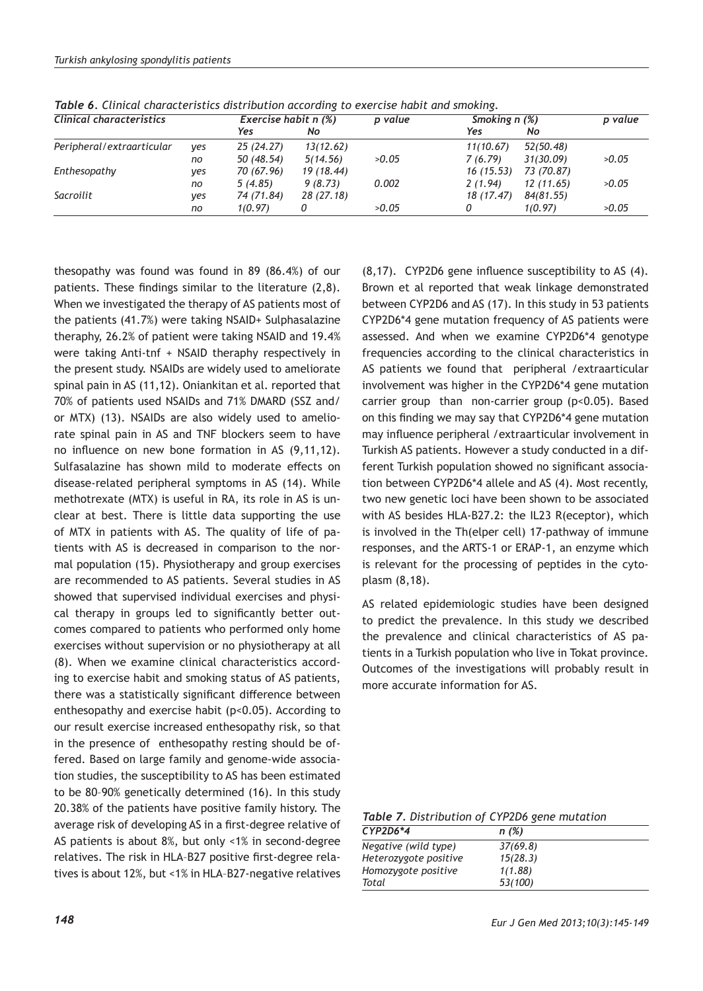| Clinical characteristics    |     | Exercise habit n (%) |            | p value | Smoking n (%) |            | p value |
|-----------------------------|-----|----------------------|------------|---------|---------------|------------|---------|
|                             |     | Yes                  | No         |         | Yes           | No         |         |
| Peripheral / extraarticular | ves | 25 (24.27)           | 13(12.62)  |         | 11(10.67)     | 52(50.48)  |         |
|                             | no  | 50 (48.54)           | 5(14.56)   | >0.05   | 7(6.79)       | 31(30.09)  | >0.05   |
| Enthesopathy<br>yes         |     | 70 (67.96)           | 19 (18.44) |         | 16(15.53)     | 73 (70.87) |         |
|                             | no  | 5(4.85)              | 9(8.73)    | 0.002   | 2(1.94)       | 12 (11.65) | >0.05   |
| Sacroilit                   | yes | 74 (71.84)           | 28 (27.18) |         | 18 (17.47)    | 84(81.55)  |         |
|                             | no  | 1(0.97)              |            | >0.05   | 0             | 1(0.97)    | >0.05   |

*Table 6. Clinical characteristics distribution according to exercise habit and smoking.*

thesopathy was found was found in 89 (86.4%) of our patients. These findings similar to the literature (2,8). When we investigated the therapy of AS patients most of the patients (41.7%) were taking NSAID+ Sulphasalazine theraphy, 26.2% of patient were taking NSAID and 19.4% were taking Anti-tnf + NSAID theraphy respectively in the present study. NSAIDs are widely used to ameliorate spinal pain in AS (11,12). Oniankitan et al. reported that 70% of patients used NSAIDs and 71% DMARD (SSZ and/ or MTX) (13). NSAIDs are also widely used to ameliorate spinal pain in AS and TNF blockers seem to have no influence on new bone formation in AS (9,11,12). Sulfasalazine has shown mild to moderate effects on disease-related peripheral symptoms in AS (14). While methotrexate (MTX) is useful in RA, its role in AS is unclear at best. There is little data supporting the use of MTX in patients with AS. The quality of life of patients with AS is decreased in comparison to the normal population (15). Physiotherapy and group exercises are recommended to AS patients. Several studies in AS showed that supervised individual exercises and physical therapy in groups led to significantly better outcomes compared to patients who performed only home exercises without supervision or no physiotherapy at all (8). When we examine clinical characteristics according to exercise habit and smoking status of AS patients, there was a statistically significant difference between enthesopathy and exercise habit (p<0.05). According to our result exercise increased enthesopathy risk, so that in the presence of enthesopathy resting should be offered. Based on large family and genome-wide association studies, the susceptibility to AS has been estimated to be 80–90% genetically determined (16). In this study 20.38% of the patients have positive family history. The average risk of developing AS in a first-degree relative of AS patients is about 8%, but only <1% in second-degree relatives. The risk in HLA–B27 positive first-degree relatives is about 12%, but <1% in HLA–B27-negative relatives

(8,17). CYP2D6 gene influence susceptibility to AS (4). Brown et al reported that weak linkage demonstrated between CYP2D6 and AS (17). In this study in 53 patients CYP2D6\*4 gene mutation frequency of AS patients were assessed. And when we examine CYP2D6\*4 genotype frequencies according to the clinical characteristics in AS patients we found that peripheral /extraarticular involvement was higher in the CYP2D6\*4 gene mutation carrier group than non-carrier group (p<0.05). Based on this finding we may say that CYP2D6\*4 gene mutation may influence peripheral /extraarticular involvement in Turkish AS patients. However a study conducted in a different Turkish population showed no significant association between CYP2D6\*4 allele and AS (4). Most recently, two new genetic loci have been shown to be associated with AS besides HLA-B27.2: the IL23 R(eceptor), which is involved in the Th(elper cell) 17-pathway of immune responses, and the ARTS-1 or ERAP-1, an enzyme which is relevant for the processing of peptides in the cytoplasm (8,18).

AS related epidemiologic studies have been designed to predict the prevalence. In this study we described the prevalence and clinical characteristics of AS patients in a Turkish population who live in Tokat province. Outcomes of the investigations will probably result in more accurate information for AS.

*Table 7. Distribution of CYP2D6 gene mutation*

| $CYP2D6*4$            | n(%)     |  |
|-----------------------|----------|--|
| Negative (wild type)  | 37(69.8) |  |
| Heterozygote positive | 15(28.3) |  |
| Homozygote positive   | 1(1.88)  |  |
| Total                 | 53(100)  |  |